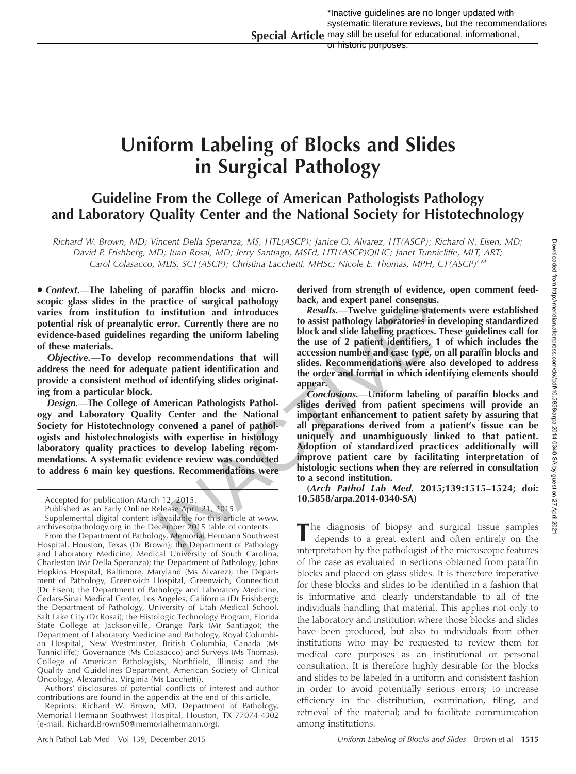# Uniform Labeling of Blocks and Slides in Surgical Pathology

# Guideline From the College of American Pathologists Pathology and Laboratory Quality Center and the National Society for Histotechnology

Richard W. Brown, MD; Vincent Della Speranza, MS, HTL(ASCP); Janice O. Alvarez, HT(ASCP); Richard N. Eisen, MD; David P. Frishberg, MD; Juan Rosai, MD; Jerry Santiago, MSEd, HTL(ASCP)QIHC; Janet Tunnicliffe, MLT, ART; Carol Colasacco, MLIS, SCT(ASCP); Christina Lacchetti, MHSc; Nicole E. Thomas, MPH, CT(ASCP)<sup>CM</sup>

· Context.-The labeling of paraffin blocks and microscopic glass slides in the practice of surgical pathology varies from institution to institution and introduces potential risk of preanalytic error. Currently there are no evidence-based guidelines regarding the uniform labeling of these materials.

Objective.—To develop recommendations that will address the need for adequate patient identification and provide a consistent method of identifying slides originating from a particular block.

Design.—The College of American Pathologists Pathology and Laboratory Quality Center and the National Society for Histotechnology convened a panel of pathologists and histotechnologists with expertise in histology laboratory quality practices to develop labeling recommendations. A systematic evidence review was conducted to address 6 main key questions. Recommendations were

From the Department of Pathology, Memorial Hermann Southwest Hospital, Houston, Texas (Dr Brown); the Department of Pathology and Laboratory Medicine, Medical University of South Carolina, Charleston (Mr Della Speranza); the Department of Pathology, Johns Hopkins Hospital, Baltimore, Maryland (Ms Alvarez); the Department of Pathology, Greenwich Hospital, Greenwich, Connecticut (Dr Eisen); the Department of Pathology and Laboratory Medicine, Cedars-Sinai Medical Center, Los Angeles, California (Dr Frishberg); the Department of Pathology, University of Utah Medical School, Salt Lake City (Dr Rosai); the Histologic Technology Program, Florida State College at Jacksonville, Orange Park (Mr Santiago); the Department of Laboratory Medicine and Pathology, Royal Columbian Hospital, New Westminster, British Columbia, Canada (Ms Tunnicliffe); Governance (Ms Colasacco) and Surveys (Ms Thomas), College of American Pathologists, Northfield, Illinois; and the Quality and Guidelines Department, American Society of Clinical Oncology, Alexandria, Virginia (Ms Lacchetti).

Authors' disclosures of potential conflicts of interest and author contributions are found in the appendix at the end of this article.

Reprints: Richard W. Brown, MD, Department of Pathology, Memorial Hermann Southwest Hospital, Houston, TX 77074-4302 (e-mail: [Richard.Brown50@memorialhermann.org](mailto:Richard.Brown50@memorialhermann.org)).

derived from strength of evidence, open comment feedback, and expert panel consensus.

Results.—Twelve guideline statements were established to assist pathology laboratories in developing standardized block and slide labeling practices. These guidelines call for the use of 2 patient identifiers, 1 of which includes the accession number and case type, on all paraffin blocks and slides. Recommendations were also developed to address the order and format in which identifying elements should appear.

Conclusions.—Uniform labeling of paraffin blocks and slides derived from patient specimens will provide an important enhancement to patient safety by assuring that all preparations derived from a patient's tissue can be uniquely and unambiguously linked to that patient. Adoption of standardized practices additionally will improve patient care by facilitating interpretation of histologic sections when they are referred in consultation to a second institution. ractice of surgical pathology<br>
ractice of surgical pathology<br>
institution and introduces<br>
eractice of surgical pathology<br>
institution and introduces<br>
ergarding the uniform labeling<br>
block and slide labeling paractices. Th

(Arch Pathol Lab Med. 2015;139:1515–1524; doi: 10.5858/arpa.2014-0340-SA)

The diagnosis of biopsy and surgical tissue samples depends to a great extent and often entirely on the interpretation by the pathologist of the microscopic features of the case as evaluated in sections obtained from paraffin blocks and placed on glass slides. It is therefore imperative for these blocks and slides to be identified in a fashion that is informative and clearly understandable to all of the individuals handling that material. This applies not only to the laboratory and institution where those blocks and slides have been produced, but also to individuals from other institutions who may be requested to review them for medical care purposes as an institutional or personal consultation. It is therefore highly desirable for the blocks and slides to be labeled in a uniform and consistent fashion in order to avoid potentially serious errors; to increase efficiency in the distribution, examination, filing, and retrieval of the material; and to facilitate communication among institutions.

Accepted for publication March 12, 2015.

Published as an Early Online Release April 21, 2015.

Supplemental digital content is available for this article at www. [archivesofpathology.org](http://www.archivesofpathology.org) in the December 2015 table of contents.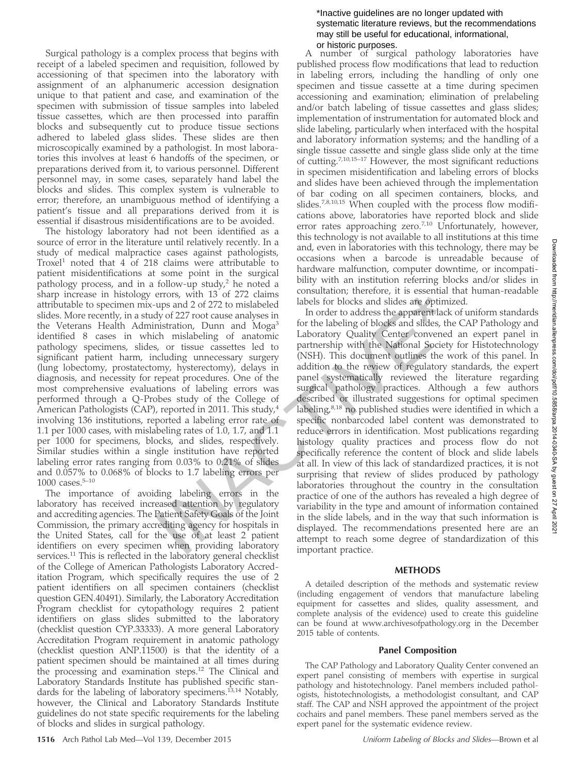Surgical pathology is a complex process that begins with receipt of a labeled specimen and requisition, followed by accessioning of that specimen into the laboratory with assignment of an alphanumeric accession designation unique to that patient and case, and examination of the specimen with submission of tissue samples into labeled tissue cassettes, which are then processed into paraffin blocks and subsequently cut to produce tissue sections adhered to labeled glass slides. These slides are then microscopically examined by a pathologist. In most laboratories this involves at least 6 handoffs of the specimen, or preparations derived from it, to various personnel. Different personnel may, in some cases, separately hand label the blocks and slides. This complex system is vulnerable to error; therefore, an unambiguous method of identifying a patient's tissue and all preparations derived from it is essential if disastrous misidentifications are to be avoided.

The histology laboratory had not been identified as a source of error in the literature until relatively recently. In a study of medical malpractice cases against pathologists, Troxel<sup>1</sup> noted that 4 of 218 claims were attributable to patient misidentifications at some point in the surgical pathology process, and in a follow-up study, $2$  he noted a sharp increase in histology errors, with 13 of 272 claims attributable to specimen mix-ups and 2 of 272 to mislabeled slides. More recently, in a study of 227 root cause analyses in the Veterans Health Administration, Dunn and Moga<sup>3</sup> identified 8 cases in which mislabeling of anatomic pathology specimens, slides, or tissue cassettes led to significant patient harm, including unnecessary surgery (lung lobectomy, prostatectomy, hysterectomy), delays in diagnosis, and necessity for repeat procedures. One of the most comprehensive evaluations of labeling errors was performed through a Q-Probes study of the College of American Pathologists (CAP), reported in 2011. This study,  $4 \times 10^{-4}$ involving 136 institutions, reported a labeling error rate of 1.1 per 1000 cases, with mislabeling rates of 1.0, 1.7, and 1.1 per 1000 for specimens, blocks, and slides, respectively. Similar studies within a single institution have reported labeling error rates ranging from 0.03% to 0.21% of slides and 0.057% to 0.068% of blocks to 1.7 labeling errors per 1000 cases. $5-10$ 

The importance of avoiding labeling errors in the laboratory has received increased attention by regulatory and accrediting agencies. The Patient Safety Goals of the Joint Commission, the primary accrediting agency for hospitals in the United States, call for the use of at least 2 patient identifiers on every specimen when providing laboratory services.<sup>11</sup> This is reflected in the laboratory general checklist of the College of American Pathologists Laboratory Accreditation Program, which specifically requires the use of 2 patient identifiers on all specimen containers (checklist question GEN.40491). Similarly, the Laboratory Accreditation Program checklist for cytopathology requires 2 patient identifiers on glass slides submitted to the laboratory (checklist question CYP.33333). A more general Laboratory Accreditation Program requirement in anatomic pathology (checklist question ANP.11500) is that the identity of a patient specimen should be maintained at all times during the processing and examination steps.<sup>12</sup> The Clinical and Laboratory Standards Institute has published specific standards for the labeling of laboratory specimens.<sup>13,14</sup> Notably, however, the Clinical and Laboratory Standards Institute guidelines do not state specific requirements for the labeling of blocks and slides in surgical pathology.

A number of surgical pathology laboratories have published process flow modifications that lead to reduction in labeling errors, including the handling of only one specimen and tissue cassette at a time during specimen accessioning and examination; elimination of prelabeling and/or batch labeling of tissue cassettes and glass slides; implementation of instrumentation for automated block and slide labeling, particularly when interfaced with the hospital and laboratory information systems; and the handling of a single tissue cassette and single glass slide only at the time of cutting.7,10,15–17 However, the most significant reductions in specimen misidentification and labeling errors of blocks and slides have been achieved through the implementation of bar coding on all specimen containers, blocks, and slides.7,8,10,15 When coupled with the process flow modifications above, laboratories have reported block and slide error rates approaching zero.<sup>7,10</sup> Unfortunately, however, this technology is not available to all institutions at this time and, even in laboratories with this technology, there may be occasions when a barcode is unreadable because of hardware malfunction, computer downtime, or incompatibility with an institution referring blocks and/or slides in consultation; therefore, it is essential that human-readable labels for blocks and slides are optimized.

In order to address the apparent lack of uniform standards for the labeling of blocks and slides, the CAP Pathology and Laboratory Quality Center convened an expert panel in partnership with the National Society for Histotechnology (NSH). This document outlines the work of this panel. In addition to the review of regulatory standards, the expert panel systematically reviewed the literature regarding surgical pathology practices. Although a few authors described or illustrated suggestions for optimal specimen labeling,<sup>8,18</sup> no published studies were identified in which a specific nonbarcoded label content was demonstrated to reduce errors in identification. Most publications regarding histology quality practices and process flow do not specifically reference the content of block and slide labels at all. In view of this lack of standardized practices, it is not surprising that review of slides produced by pathology laboratories throughout the country in the consultation practice of one of the authors has revealed a high degree of variability in the type and amount of information contained in the slide labels, and in the way that such information is displayed. The recommendations presented here are an attempt to reach some degree of standardization of this important practice. errors, with 13 of 272 claims<br>
unseau constant interfore, tr is essential tradey<br>
ups and 2 of 272 to mislabeled<br>
ulsels for blocks and slides are optimized<br>
dy of 227 too tcause analyses in order to address the apparent l

# **METHODS**

A detailed description of the methods and systematic review (including engagement of vendors that manufacture labeling equipment for cassettes and slides, quality assessment, and complete analysis of the evidence) used to create this guideline can be found at [www.archivesofpathology.org](http://www.archivesofpathology.org) in the December 2015 table of contents.

# Panel Composition

The CAP Pathology and Laboratory Quality Center convened an expert panel consisting of members with expertise in surgical pathology and histotechnology. Panel members included pathologists, histotechnologists, a methodologist consultant, and CAP staff. The CAP and NSH approved the appointment of the project cochairs and panel members. These panel members served as the expert panel for the systematic evidence review.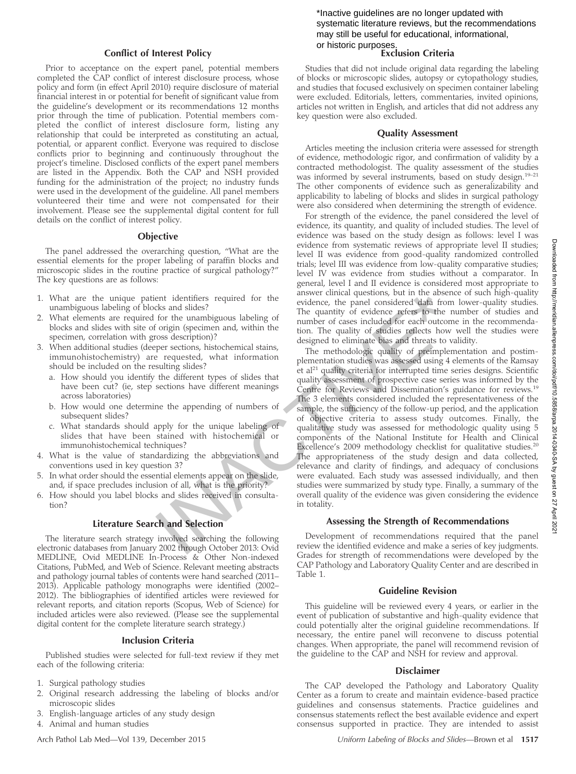#### Conflict of Interest Policy

Prior to acceptance on the expert panel, potential members completed the CAP conflict of interest disclosure process, whose policy and form (in effect April 2010) require disclosure of material financial interest in or potential for benefit of significant value from the guideline's development or its recommendations 12 months prior through the time of publication. Potential members completed the conflict of interest disclosure form, listing any relationship that could be interpreted as constituting an actual, potential, or apparent conflict. Everyone was required to disclose conflicts prior to beginning and continuously throughout the project's timeline. Disclosed conflicts of the expert panel members are listed in the Appendix. Both the CAP and NSH provided funding for the administration of the project; no industry funds were used in the development of the guideline. All panel members volunteered their time and were not compensated for their involvement. Please see the supplemental digital content for full details on the conflict of interest policy.

#### **Objective**

The panel addressed the overarching question, ''What are the essential elements for the proper labeling of paraffin blocks and microscopic slides in the routine practice of surgical pathology?'' The key questions are as follows:

- 1. What are the unique patient identifiers required for the unambiguous labeling of blocks and slides?
- 2. What elements are required for the unambiguous labeling of blocks and slides with site of origin (specimen and, within the specimen, correlation with gross description)?
- 3. When additional studies (deeper sections, histochemical stains, immunohistochemistry) are requested, what information should be included on the resulting slides?
	- a. How should you identify the different types of slides that have been cut? (ie, step sections have different meanings across laboratories)
	- b. How would one determine the appending of numbers of subsequent slides?
	- c. What standards should apply for the unique labeling of slides that have been stained with histochemical or immunohistochemical techniques?
- 4. What is the value of standardizing the abbreviations and conventions used in key question 3?
- 5. In what order should the essential elements appear on the slide, and, if space precludes inclusion of all, what is the priority?
- 6. How should you label blocks and slides received in consultation?

#### Literature Search and Selection

The literature search strategy involved searching the following electronic databases from January 2002 through October 2013: Ovid MEDLINE, Ovid MEDLINE In-Process & Other Non-indexed Citations, PubMed, and Web of Science. Relevant meeting abstracts and pathology journal tables of contents were hand searched (2011– 2013). Applicable pathology monographs were identified (2002– 2012). The bibliographies of identified articles were reviewed for relevant reports, and citation reports (Scopus, Web of Science) for included articles were also reviewed. (Please see the supplemental digital content for the complete literature search strategy.)

#### Inclusion Criteria

Published studies were selected for full-text review if they met each of the following criteria:

- 1. Surgical pathology studies
- 2. Original research addressing the labeling of blocks and/or microscopic slides
- 3. English-language articles of any study design
- 4. Animal and human studies

#### \*Inactive guidelines are no longer updated with systematic literature reviews, but the recommendations may still be useful for educational, informational, or historic purposes.

#### Exclusion Criteria

Studies that did not include original data regarding the labeling of blocks or microscopic slides, autopsy or cytopathology studies, and studies that focused exclusively on specimen container labeling were excluded. Editorials, letters, commentaries, invited opinions, articles not written in English, and articles that did not address any key question were also excluded.

#### Quality Assessment

Articles meeting the inclusion criteria were assessed for strength of evidence, methodologic rigor, and confirmation of validity by a contracted methodologist. The quality assessment of the studies was informed by several instruments, based on study design.<sup>19-21</sup> The other components of evidence such as generalizability and applicability to labeling of blocks and slides in surgical pathology were also considered when determining the strength of evidence.

For strength of the evidence, the panel considered the level of evidence, its quantity, and quality of included studies. The level of evidence was based on the study design as follows: level I was evidence from systematic reviews of appropriate level II studies; level II was evidence from good-quality randomized controlled trials; level III was evidence from low-quality comparative studies; level IV was evidence from studies without a comparator. In general, level I and II evidence is considered most appropriate to answer clinical questions, but in the absence of such high-quality evidence, the panel considered data from lower-quality studies. The quantity of evidence refers to the number of studies and number of cases included for each outcome in the recommendation. The quality of studies reflects how well the studies were designed to eliminate bias and threats to validity.

The methodologic quality of preimplementation and postimplementation studies was assessed using 4 elements of the Ramsay et al<sup>21</sup> quality criteria for interrupted time series designs. Scientific quality assessment of prospective case series was informed by the Centre for Reviews and Dissemination's guidance for reviews.<sup>19</sup> The 3 elements considered included the representativeness of the sample, the sufficiency of the follow-up period, and the application of objective criteria to assess study outcomes. Finally, the qualitative study was assessed for methodologic quality using 5 components of the National Institute for Health and Clinical Excellence's 2009 methodology checklist for qualitative studies.<sup>20</sup> The appropriateness of the study design and data collected, relevance and clarity of findings, and adequacy of conclusions were evaluated. Each study was assessed individually, and then studies were summarized by study type. Finally, a summary of the overall quality of the evidence was given considering the evidence in totality. ient identifiers required for the answer clinical questions, but in the absence the panel considered data from lot of the unambiguous labeling of The quantity of evidence refers to the number of cases included for each utc

#### Assessing the Strength of Recommendations

Development of recommendations required that the panel review the identified evidence and make a series of key judgments. Grades for strength of recommendations were developed by the CAP Pathology and Laboratory Quality Center and are described in Table 1.

#### Guideline Revision

This guideline will be reviewed every 4 years, or earlier in the event of publication of substantive and high-quality evidence that could potentially alter the original guideline recommendations. If necessary, the entire panel will reconvene to discuss potential changes. When appropriate, the panel will recommend revision of the guideline to the CAP and NSH for review and approval.

#### Disclaimer

The CAP developed the Pathology and Laboratory Quality Center as a forum to create and maintain evidence-based practice guidelines and consensus statements. Practice guidelines and consensus statements reflect the best available evidence and expert consensus supported in practice. They are intended to assist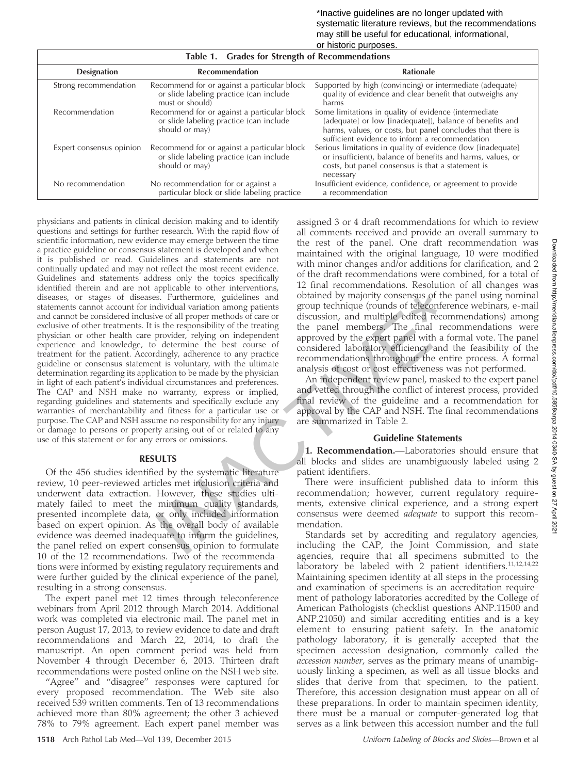| Table 1. Grades for Strength of Recommendations |                                                                                                           |                                                                                                                                                                                                                                   |  |  |  |
|-------------------------------------------------|-----------------------------------------------------------------------------------------------------------|-----------------------------------------------------------------------------------------------------------------------------------------------------------------------------------------------------------------------------------|--|--|--|
| <b>Designation</b>                              | <b>Recommendation</b>                                                                                     | <b>Rationale</b>                                                                                                                                                                                                                  |  |  |  |
| Strong recommendation                           | Recommend for or against a particular block<br>or slide labeling practice (can include<br>must or should) | Supported by high (convincing) or intermediate (adequate)<br>quality of evidence and clear benefit that outweighs any<br>harms                                                                                                    |  |  |  |
| Recommendation                                  | Recommend for or against a particular block<br>or slide labeling practice (can include<br>should or may)  | Some limitations in quality of evidence (intermediate<br>[adequate] or low [inadequate]), balance of benefits and<br>harms, values, or costs, but panel concludes that there is<br>sufficient evidence to inform a recommendation |  |  |  |
| Expert consensus opinion                        | Recommend for or against a particular block<br>or slide labeling practice (can include<br>should or may)  | Serious limitations in quality of evidence (low [inadequate]<br>or insufficient), balance of benefits and harms, values, or<br>costs, but panel consensus is that a statement is<br>necessary                                     |  |  |  |
| No recommendation                               | No recommendation for or against a<br>particular block or slide labeling practice                         | Insufficient evidence, confidence, or agreement to provide<br>a recommendation                                                                                                                                                    |  |  |  |

physicians and patients in clinical decision making and to identify questions and settings for further research. With the rapid flow of scientific information, new evidence may emerge between the time a practice guideline or consensus statement is developed and when it is published or read. Guidelines and statements are not continually updated and may not reflect the most recent evidence. Guidelines and statements address only the topics specifically identified therein and are not applicable to other interventions, diseases, or stages of diseases. Furthermore, guidelines and statements cannot account for individual variation among patients and cannot be considered inclusive of all proper methods of care or exclusive of other treatments. It is the responsibility of the treating physician or other health care provider, relying on independent experience and knowledge, to determine the best course of treatment for the patient. Accordingly, adherence to any practice guideline or consensus statement is voluntary, with the ultimate determination regarding its application to be made by the physician in light of each patient's individual circumstances and preferences. The CAP and NSH make no warranty, express or implied, regarding guidelines and statements and specifically exclude any warranties of merchantability and fitness for a particular use or purpose. The CAP and NSH assume no responsibility for any injury or damage to persons or property arising out of or related to any use of this statement or for any errors or omissions. Fracthermore, guidelines and<br>
dotained by majority consensus of the paster Fruchermore, guidelines and<br>
dotained by majority consensus of the paster every derived for the tracting on interpendent of the tracting the panel

#### RESULTS

Of the 456 studies identified by the systematic literature review, 10 peer-reviewed articles met inclusion criteria and underwent data extraction. However, these studies ultimately failed to meet the minimum quality standards, presented incomplete data, or only included information based on expert opinion. As the overall body of available evidence was deemed inadequate to inform the guidelines, the panel relied on expert consensus opinion to formulate 10 of the 12 recommendations. Two of the recommendations were informed by existing regulatory requirements and were further guided by the clinical experience of the panel, resulting in a strong consensus.

The expert panel met 12 times through teleconference webinars from April 2012 through March 2014. Additional work was completed via electronic mail. The panel met in person August 17, 2013, to review evidence to date and draft recommendations and March 22, 2014, to draft the manuscript. An open comment period was held from November 4 through December 6, 2013. Thirteen draft recommendations were posted online on the NSH web site.

"Agree" and "disagree" responses were captured for every proposed recommendation. The Web site also received 539 written comments. Ten of 13 recommendations achieved more than 80% agreement; the other 3 achieved 78% to 79% agreement. Each expert panel member was assigned 3 or 4 draft recommendations for which to review all comments received and provide an overall summary to the rest of the panel. One draft recommendation was maintained with the original language, 10 were modified with minor changes and/or additions for clarification, and 2 of the draft recommendations were combined, for a total of 12 final recommendations. Resolution of all changes was obtained by majority consensus of the panel using nominal group technique (rounds of teleconference webinars, e-mail discussion, and multiple edited recommendations) among the panel members. The final recommendations were approved by the expert panel with a formal vote. The panel considered laboratory efficiency and the feasibility of the recommendations throughout the entire process. A formal analysis of cost or cost effectiveness was not performed.

An independent review panel, masked to the expert panel and vetted through the conflict of interest process, provided final review of the guideline and a recommendation for approval by the CAP and NSH. The final recommendations are summarized in Table 2.

# Guideline Statements

1. Recommendation.—Laboratories should ensure that all blocks and slides are unambiguously labeled using 2 patient identifiers.

There were insufficient published data to inform this recommendation; however, current regulatory requirements, extensive clinical experience, and a strong expert consensus were deemed adequate to support this recommendation.

Standards set by accrediting and regulatory agencies, including the CAP, the Joint Commission, and state agencies, require that all specimens submitted to the laboratory be labeled with  $2$  patient identifiers.<sup>11,12,14,22</sup> Maintaining specimen identity at all steps in the processing and examination of specimens is an accreditation requirement of pathology laboratories accredited by the College of American Pathologists (checklist questions ANP.11500 and ANP.21050) and similar accrediting entities and is a key element to ensuring patient safety. In the anatomic pathology laboratory, it is generally accepted that the specimen accession designation, commonly called the accession number, serves as the primary means of unambiguously linking a specimen, as well as all tissue blocks and slides that derive from that specimen, to the patient. Therefore, this accession designation must appear on all of these preparations. In order to maintain specimen identity, there must be a manual or computer-generated log that serves as a link between this accession number and the full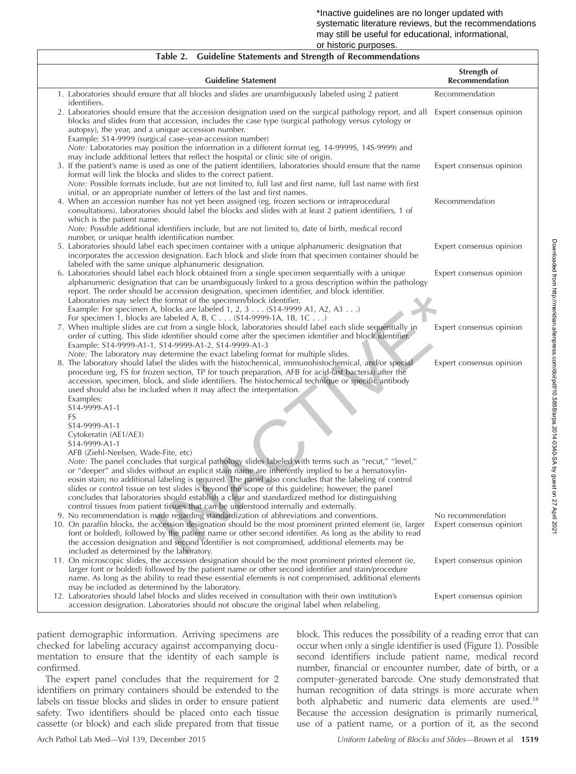#### \*Inactive guidelines are no longer updated with systematic literature reviews, but the recommendations may still be useful for educational, informational, or historic purposes.

| <b>Guideline Statements and Strength of Recommendations</b><br>Table 2.                                                                                                                                                                                                                                                                                                                                                                                                                                                                         |                               |
|-------------------------------------------------------------------------------------------------------------------------------------------------------------------------------------------------------------------------------------------------------------------------------------------------------------------------------------------------------------------------------------------------------------------------------------------------------------------------------------------------------------------------------------------------|-------------------------------|
| <b>Guideline Statement</b>                                                                                                                                                                                                                                                                                                                                                                                                                                                                                                                      | Strength of<br>Recommendation |
| 1. Laboratories should ensure that all blocks and slides are unambiguously labeled using 2 patient<br>identifiers.                                                                                                                                                                                                                                                                                                                                                                                                                              | Recommendation                |
| 2. Laboratories should ensure that the accession designation used on the surgical pathology report, and all Expert consensus opinion<br>blocks and slides from that accession, includes the case type (surgical pathology versus cytology or                                                                                                                                                                                                                                                                                                    |                               |
| autopsy), the year, and a unique accession number.<br>Example: S14-9999 (surgical case–year-accession number)<br>Note: Laboratories may position the information in a different format (eg, 14-9999S, 14S-9999) and<br>may include additional letters that reflect the hospital or clinic site of origin.<br>3. If the patient's name is used as one of the patient identifiers, laboratories should ensure that the name                                                                                                                       | Expert consensus opinion      |
| format will link the blocks and slides to the correct patient.<br>Note: Possible formats include, but are not limited to, full last and first name, full last name with first<br>initial, or an appropriate number of letters of the last and first names.                                                                                                                                                                                                                                                                                      |                               |
| 4. When an accession number has not yet been assigned (eg, frozen sections or intraprocedural<br>consultations), laboratories should label the blocks and slides with at least 2 patient identifiers, 1 of<br>which is the patient name.                                                                                                                                                                                                                                                                                                        | Recommendation                |
| Note: Possible additional identifiers include, but are not limited to, date of birth, medical record<br>number, or unique health identification number.<br>5. Laboratories should label each specimen container with a unique alphanumeric designation that                                                                                                                                                                                                                                                                                     | Expert consensus opinion      |
| incorporates the accession designation. Each block and slide from that specimen container should be<br>labeled with the same unique alphanumeric designation.                                                                                                                                                                                                                                                                                                                                                                                   |                               |
| 6. Laboratories should label each block obtained from a single specimen sequentially with a unique<br>alphanumeric designation that can be unambiguously linked to a gross description within the pathology<br>report. The order should be accession designation, specimen identifier, and block identifier.<br>Laboratories may select the format of the specimen/block identifier.<br>Example: For specimen A, blocks are labeled $1, 2, 3 \ldots$ (\$14-9999 A1, A2, A3)<br>For specimen 1, blocks are labeled A, B, C (S14-9999-1A, 1B, 1C) | Expert consensus opinion      |
| 7. When multiple slides are cut from a single block, laboratories should label each slide sequentially in<br>order of cutting. This slide identifier should come after the specimen identifier and block identifier.<br>Example: S14-9999-A1-1, S14-9999-A1-2, S14-9999-A1-3<br>Note: The laboratory may determine the exact labeling format for multiple slides.                                                                                                                                                                               | Expert consensus opinion      |
| 8. The laboratory should label the slides with the histochemical, immunohistochemical, and/or special<br>procedure (eg, FS for frozen section, TP for touch preparation, AFB for acid-fast bacteria) after the<br>accession, specimen, block, and slide identifiers. The histochemical technique or specific antibody<br>used should also be included when it may affect the interpretation.<br>Examples:                                                                                                                                       | Expert consensus opinion      |
| S14-9999-A1-1<br>FS                                                                                                                                                                                                                                                                                                                                                                                                                                                                                                                             |                               |
| S14-9999-A1-1<br>Cytokeratin (AE1/AE3)<br>S14-9999-A1-1                                                                                                                                                                                                                                                                                                                                                                                                                                                                                         |                               |
| AFB (Ziehl-Neelsen, Wade-Fite, etc)<br>Note: The panel concludes that surgical pathology slides labeled with terms such as "recut," "level,"                                                                                                                                                                                                                                                                                                                                                                                                    |                               |
| or "deeper" and slides without an explicit stain name are inherently implied to be a hematoxylin-<br>eosin stain; no additional labeling is required. The panel also concludes that the labeling of control<br>slides or control tissue on test slides is beyond the scope of this guideline; however, the panel<br>concludes that laboratories should establish a clear and standardized method for distinguishing                                                                                                                             |                               |
| control tissues from patient tissues that can be understood internally and externally.<br>9. No recommendation is made regarding standardization of abbreviations and conventions.                                                                                                                                                                                                                                                                                                                                                              | No recommendation             |
| 10. On paraffin blocks, the accession designation should be the most prominent printed element (ie, larger<br>font or bolded), followed by the patient name or other second identifier. As long as the ability to read<br>the accession designation and second identifier is not compromised, additional elements may be<br>included as determined by the laboratory.                                                                                                                                                                           | Expert consensus opinion      |
| 11. On microscopic slides, the accession designation should be the most prominent printed element (ie,<br>larger font or bolded) followed by the patient name or other second identifier and stain/procedure<br>name. As long as the ability to read these essential elements is not compromised, additional elements                                                                                                                                                                                                                           | Expert consensus opinion      |
| may be included as determined by the laboratory.<br>12. Laboratories should label blocks and slides received in consultation with their own institution's<br>accession designation. Laboratories should not obscure the original label when relabeling.                                                                                                                                                                                                                                                                                         | Expert consensus opinion      |

patient demographic information. Arriving specimens are checked for labeling accuracy against accompanying documentation to ensure that the identity of each sample is confirmed.

The expert panel concludes that the requirement for 2 identifiers on primary containers should be extended to the labels on tissue blocks and slides in order to ensure patient safety. Two identifiers should be placed onto each tissue cassette (or block) and each slide prepared from that tissue

block. This reduces the possibility of a reading error that can occur when only a single identifier is used (Figure 1). Possible second identifiers include patient name, medical record number, financial or encounter number, date of birth, or a computer-generated barcode. One study demonstrated that human recognition of data strings is more accurate when both alphabetic and numeric data elements are used.<sup>18</sup> Because the accession designation is primarily numerical, use of a patient name, or a portion of it, as the second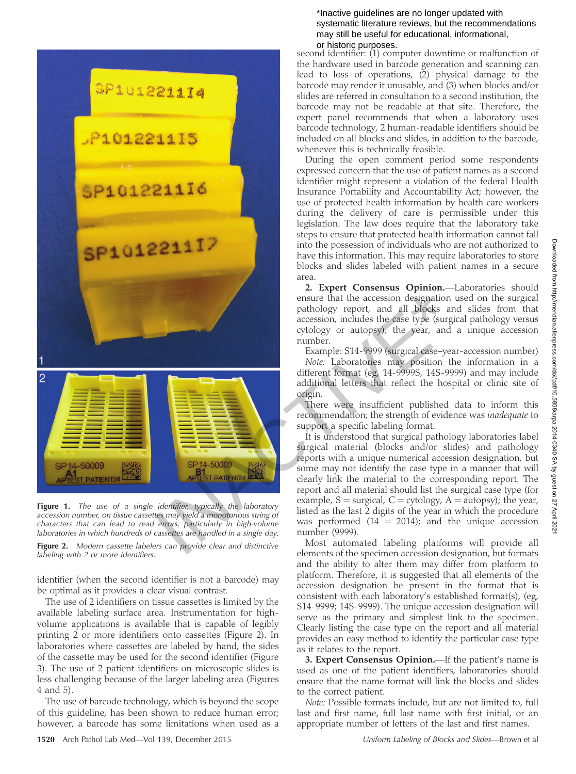

Figure 1. The use of a single identifier, typically the laboratory accession number, on tissue cassettes may yield a monotonous string of characters that can lead to read errors, particularly in high-volume laboratories in which hundreds of cassettes are handled in a single day.

Figure 2. Modern cassette labelers can provide clear and distinctive labeling with 2 or more identifiers.

identifier (when the second identifier is not a barcode) may be optimal as it provides a clear visual contrast.

The use of 2 identifiers on tissue cassettes is limited by the available labeling surface area. Instrumentation for highvolume applications is available that is capable of legibly printing 2 or more identifiers onto cassettes (Figure 2). In laboratories where cassettes are labeled by hand, the sides of the cassette may be used for the second identifier (Figure 3). The use of 2 patient identifiers on microscopic slides is less challenging because of the larger labeling area (Figures 4 and 5).

The use of barcode technology, which is beyond the scope of this guideline, has been shown to reduce human error; however, a barcode has some limitations when used as a

#### \*Inactive guidelines are no longer updated with systematic literature reviews, but the recommendations may still be useful for educational, informational, or historic purposes.

second identifier: (1) computer downtime or malfunction of the hardware used in barcode generation and scanning can lead to loss of operations, (2) physical damage to the barcode may render it unusable, and (3) when blocks and/or slides are referred in consultation to a second institution, the barcode may not be readable at that site. Therefore, the expert panel recommends that when a laboratory uses barcode technology, 2 human-readable identifiers should be included on all blocks and slides, in addition to the barcode, whenever this is technically feasible.

During the open comment period some respondents expressed concern that the use of patient names as a second identifier might represent a violation of the federal Health Insurance Portability and Accountability Act; however, the use of protected health information by health care workers during the delivery of care is permissible under this legislation. The law does require that the laboratory take steps to ensure that protected health information cannot fall into the possession of individuals who are not authorized to have this information. This may require laboratories to store blocks and slides labeled with patient names in a secure area.

2. Expert Consensus Opinion.—Laboratories should ensure that the accession designation used on the surgical pathology report, and all blocks and slides from that accession, includes the case type (surgical pathology versus cytology or autopsy), the year, and a unique accession number.

Example: S14-9999 (surgical case–year-accession number)

Note: Laboratories may position the information in a different format (eg, 14-9999S, 14S-9999) and may include additional letters that reflect the hospital or clinic site of origin.

There were insufficient published data to inform this recommendation; the strength of evidence was inadequate to support a specific labeling format.

It is understood that surgical pathology laboratories label surgical material (blocks and/or slides) and pathology reports with a unique numerical accession designation, but some may not identify the case type in a manner that will clearly link the material to the corresponding report. The report and all material should list the surgical case type (for example,  $S = \text{surgical}, C = \text{cytology}, A = \text{autopy};$  the year, listed as the last 2 digits of the year in which the procedure was performed  $(14 = 2014)$ ; and the unique accession number (9999).

Most automated labeling platforms will provide all elements of the specimen accession designation, but formats and the ability to alter them may differ from platform to platform. Therefore, it is suggested that all elements of the accession designation be present in the format that is consistent with each laboratory's established format(s), (eg, S14-9999; 14S-9999). The unique accession designation will serve as the primary and simplest link to the specimen. Clearly listing the case type on the report and all material provides an easy method to identify the particular case type as it relates to the report.

3. Expert Consensus Opinion.—If the patient's name is used as one of the patient identifiers, laboratories should ensure that the name format will link the blocks and slides to the correct patient.

Note: Possible formats include, but are not limited to, full last and first name, full last name with first initial, or an appropriate number of letters of the last and first names.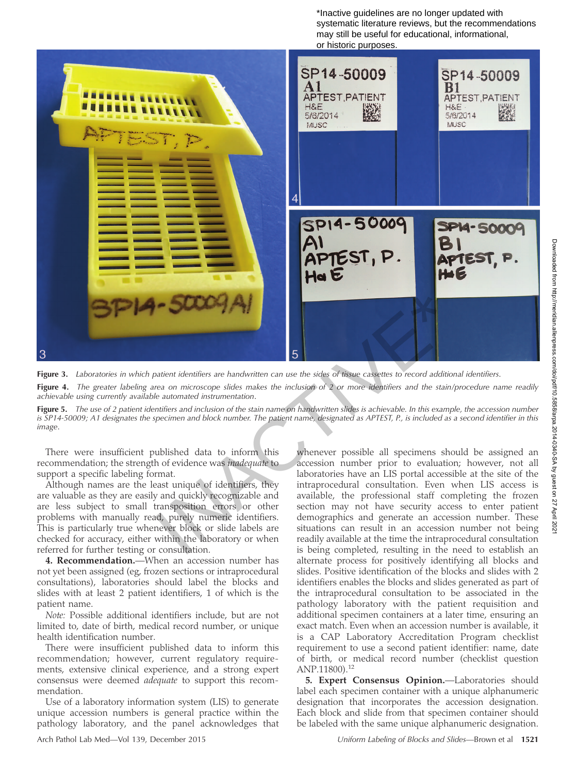\*Inactive guidelines are no longer updated with systematic literature reviews, but the recommendations may still be useful for educational, informational, or historic purposes.



Figure 3. Laboratories in which patient identifiers are handwritten can use the sides of tissue cassettes to record additional identifiers. Figure 4. The greater labeling area on microscope slides makes the inclusion of 2 or more identifiers and the stain/procedure name readily

Figure 5. The use of 2 patient identifiers and inclusion of the stain name on handwritten slides is achievable. In this example, the accession number is SP14-50009; A1 designates the specimen and block number. The patient name, designated as APTEST, P., is included as a second identifier in this image.

There were insufficient published data to inform this recommendation; the strength of evidence was inadequate to support a specific labeling format.

achievable using currently available automated instrumentation.

Although names are the least unique of identifiers, they are valuable as they are easily and quickly recognizable and are less subject to small transposition errors or other problems with manually read, purely numeric identifiers. This is particularly true whenever block or slide labels are checked for accuracy, either within the laboratory or when referred for further testing or consultation.

4. Recommendation.-When an accession number has not yet been assigned (eg, frozen sections or intraprocedural consultations), laboratories should label the blocks and slides with at least 2 patient identifiers, 1 of which is the patient name.

Note: Possible additional identifiers include, but are not limited to, date of birth, medical record number, or unique health identification number.

There were insufficient published data to inform this recommendation; however, current regulatory requirements, extensive clinical experience, and a strong expert consensus were deemed adequate to support this recommendation.

Use of a laboratory information system (LIS) to generate unique accession numbers is general practice within the pathology laboratory, and the panel acknowledges that

whenever possible all specimens should be assigned an accession number prior to evaluation; however, not all laboratories have an LIS portal accessible at the site of the intraprocedural consultation. Even when LIS access is available, the professional staff completing the frozen section may not have security access to enter patient demographics and generate an accession number. These situations can result in an accession number not being readily available at the time the intraprocedural consultation is being completed, resulting in the need to establish an alternate process for positively identifying all blocks and slides. Positive identification of the blocks and slides with 2 identifiers enables the blocks and slides generated as part of the intraprocedural consultation to be associated in the pathology laboratory with the patient requisition and additional specimen containers at a later time, ensuring an exact match. Even when an accession number is available, it is a CAP Laboratory Accreditation Program checklist requirement to use a second patient identifier: name, date of birth, or medical record number (checklist question ANP.11800).<sup>12</sup>

5. Expert Consensus Opinion.—Laboratories should label each specimen container with a unique alphanumeric designation that incorporates the accession designation. Each block and slide from that specimen container should be labeled with the same unique alphanumeric designation.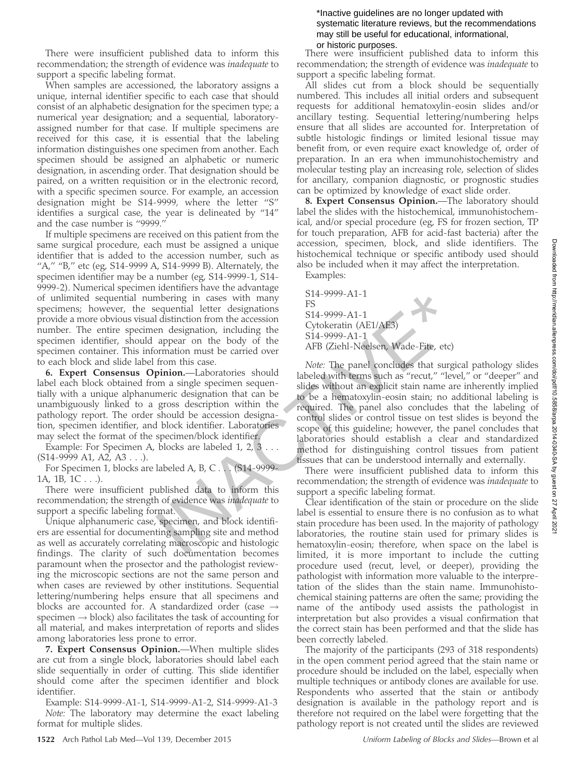There were insufficient published data to inform this recommendation; the strength of evidence was inadequate to support a specific labeling format.

When samples are accessioned, the laboratory assigns a unique, internal identifier specific to each case that should consist of an alphabetic designation for the specimen type; a numerical year designation; and a sequential, laboratoryassigned number for that case. If multiple specimens are received for this case, it is essential that the labeling information distinguishes one specimen from another. Each specimen should be assigned an alphabetic or numeric designation, in ascending order. That designation should be paired, on a written requisition or in the electronic record, with a specific specimen source. For example, an accession designation might be S14-9999, where the letter ''S'' identifies a surgical case, the year is delineated by ''14'' and the case number is ''9999.''

If multiple specimens are received on this patient from the same surgical procedure, each must be assigned a unique identifier that is added to the accession number, such as "A," "B," etc (eg, S14-9999 A, S14-9999 B). Alternately, the specimen identifier may be a number (eg, S14-9999-1, S14- 9999-2). Numerical specimen identifiers have the advantage of unlimited sequential numbering in cases with many specimens; however, the sequential letter designations provide a more obvious visual distinction from the accession number. The entire specimen designation, including the specimen identifier, should appear on the body of the specimen container. This information must be carried over to each block and slide label from this case.

6. Expert Consensus Opinion.—Laboratories should label each block obtained from a single specimen sequentially with a unique alphanumeric designation that can be unambiguously linked to a gross description within the pathology report. The order should be accession designation, specimen identifier, and block identifier. Laboratories may select the format of the specimen/block identifier.

Example: For Specimen A, blocks are labeled 1, 2, 3 . . . (S14-9999 A1, A2, A3 . . .).

For Specimen 1, blocks are labeled A, B, C... (S14-9999-1A, 1B, 1C . . .).

There were insufficient published data to inform this recommendation; the strength of evidence was inadequate to support a specific labeling format.

Unique alphanumeric case, specimen, and block identifiers are essential for documenting sampling site and method as well as accurately correlating macroscopic and histologic findings. The clarity of such documentation becomes paramount when the prosector and the pathologist reviewing the microscopic sections are not the same person and when cases are reviewed by other institutions. Sequential lettering/numbering helps ensure that all specimens and blocks are accounted for. A standardized order (case  $\rightarrow$  $s$ pecimen  $\rightarrow$  block) also facilitates the task of accounting for all material, and makes interpretation of reports and slides among laboratories less prone to error.

7. Expert Consensus Opinion.—When multiple slides are cut from a single block, laboratories should label each slide sequentially in order of cutting. This slide identifier should come after the specimen identifier and block identifier.

Example: S14-9999-A1-1, S14-9999-A1-2, S14-9999-A1-3 Note: The laboratory may determine the exact labeling format for multiple slides.

#### \*Inactive guidelines are no longer updated with systematic literature reviews, but the recommendations may still be useful for educational, informational, or historic purposes.

There were insufficient published data to inform this recommendation; the strength of evidence was inadequate to support a specific labeling format.

All slides cut from a block should be sequentially numbered. This includes all initial orders and subsequent requests for additional hematoxylin-eosin slides and/or ancillary testing. Sequential lettering/numbering helps ensure that all slides are accounted for. Interpretation of subtle histologic findings or limited lesional tissue may benefit from, or even require exact knowledge of, order of preparation. In an era when immunohistochemistry and molecular testing play an increasing role, selection of slides for ancillary, companion diagnostic, or prognostic studies can be optimized by knowledge of exact slide order.

8. Expert Consensus Opinion.—The laboratory should label the slides with the histochemical, immunohistochemical, and/or special procedure (eg, FS for frozen section, TP for touch preparation, AFB for acid-fast bacteria) after the accession, specimen, block, and slide identifiers. The histochemical technique or specific antibody used should also be included when it may affect the interpretation.

Examples:

S14-9999-A1-1 FS S14-9999-A1-1 Cytokeratin (AE1/AE3) S14-9999-A1-1 AFB (Ziehl-Neelsen, Wade-Fite, etc)

Note: The panel concludes that surgical pathology slides labeled with terms such as "recut," "level," or "deeper" and slides without an explicit stain name are inherently implied to be a hematoxylin-eosin stain; no additional labeling is required. The panel also concludes that the labeling of control slides or control tissue on test slides is beyond the scope of this guideline; however, the panel concludes that laboratories should establish a clear and standardized method for distinguishing control tissues from patient tissues that can be understood internally and externally. mbering in cases with many<br>
mbering in cases with many<br>
In distinction from the accession<br>
In State distinction from the accession<br>
or designation, including the<br>
appear on the body of the<br>
ormation must be carried over<br>
f

There were insufficient published data to inform this recommendation; the strength of evidence was inadequate to support a specific labeling format.

Clear identification of the stain or procedure on the slide label is essential to ensure there is no confusion as to what stain procedure has been used. In the majority of pathology laboratories, the routine stain used for primary slides is hematoxylin-eosin; therefore, when space on the label is limited, it is more important to include the cutting procedure used (recut, level, or deeper), providing the pathologist with information more valuable to the interpretation of the slides than the stain name. Immunohistochemical staining patterns are often the same; providing the name of the antibody used assists the pathologist in interpretation but also provides a visual confirmation that the correct stain has been performed and that the slide has been correctly labeled.

The majority of the participants (293 of 318 respondents) in the open comment period agreed that the stain name or procedure should be included on the label, especially when multiple techniques or antibody clones are available for use. Respondents who asserted that the stain or antibody designation is available in the pathology report and is therefore not required on the label were forgetting that the pathology report is not created until the slides are reviewed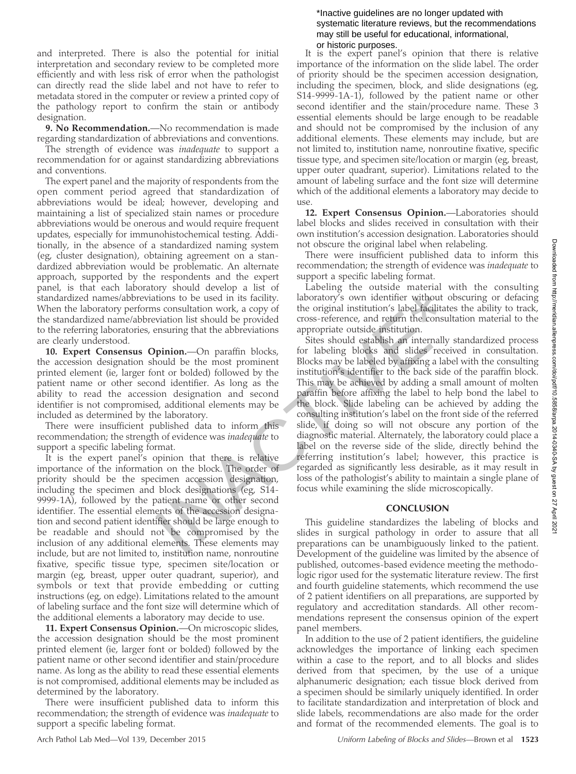and interpreted. There is also the potential for initial interpretation and secondary review to be completed more efficiently and with less risk of error when the pathologist can directly read the slide label and not have to refer to metadata stored in the computer or review a printed copy of the pathology report to confirm the stain or antibody designation.

9. No Recommendation.—No recommendation is made regarding standardization of abbreviations and conventions.

The strength of evidence was *inadequate* to support a recommendation for or against standardizing abbreviations and conventions.

The expert panel and the majority of respondents from the open comment period agreed that standardization of abbreviations would be ideal; however, developing and maintaining a list of specialized stain names or procedure abbreviations would be onerous and would require frequent updates, especially for immunohistochemical testing. Additionally, in the absence of a standardized naming system (eg, cluster designation), obtaining agreement on a standardized abbreviation would be problematic. An alternate approach, supported by the respondents and the expert panel, is that each laboratory should develop a list of standardized names/abbreviations to be used in its facility. When the laboratory performs consultation work, a copy of the standardized name/abbreviation list should be provided to the referring laboratories, ensuring that the abbreviations are clearly understood.

10. Expert Consensus Opinion.—On paraffin blocks, the accession designation should be the most prominent printed element (ie, larger font or bolded) followed by the patient name or other second identifier. As long as the ability to read the accession designation and second identifier is not compromised, additional elements may be included as determined by the laboratory.

There were insufficient published data to inform this recommendation; the strength of evidence was *inadequate* to support a specific labeling format.

It is the expert panel's opinion that there is relative importance of the information on the block. The order of priority should be the specimen accession designation, including the specimen and block designations (eg, S14- 9999-1A), followed by the patient name or other second identifier. The essential elements of the accession designation and second patient identifier should be large enough to be readable and should not be compromised by the inclusion of any additional elements. These elements may include, but are not limited to, institution name, nonroutine fixative, specific tissue type, specimen site/location or margin (eg, breast, upper outer quadrant, superior), and symbols or text that provide embedding or cutting instructions (eg, on edge). Limitations related to the amount of labeling surface and the font size will determine which of the additional elements a laboratory may decide to use.

11. Expert Consensus Opinion.—On microscopic slides, the accession designation should be the most prominent printed element (ie, larger font or bolded) followed by the patient name or other second identifier and stain/procedure name. As long as the ability to read these essential elements is not compromised, additional elements may be included as determined by the laboratory.

There were insufficient published data to inform this recommendation; the strength of evidence was inadequate to support a specific labeling format.

#### \*Inactive guidelines are no longer updated with systematic literature reviews, but the recommendations may still be useful for educational, informational, or historic purposes.

It is the expert panel's opinion that there is relative importance of the information on the slide label. The order of priority should be the specimen accession designation, including the specimen, block, and slide designations (eg, S14-9999-1A-1), followed by the patient name or other second identifier and the stain/procedure name. These 3 essential elements should be large enough to be readable and should not be compromised by the inclusion of any additional elements. These elements may include, but are not limited to, institution name, nonroutine fixative, specific tissue type, and specimen site/location or margin (eg, breast, upper outer quadrant, superior). Limitations related to the amount of labeling surface and the font size will determine which of the additional elements a laboratory may decide to use.

12. Expert Consensus Opinion.—Laboratories should label blocks and slides received in consultation with their own institution's accession designation. Laboratories should not obscure the original label when relabeling.

There were insufficient published data to inform this recommendation; the strength of evidence was inadequate to support a specific labeling format.

Labeling the outside material with the consulting laboratory's own identifier without obscuring or defacing the original institution's label facilitates the ability to track, cross-reference, and return the consultation material to the appropriate outside institution.

Sites should establish an internally standardized process for labeling blocks and slides received in consultation. Blocks may be labeled by affixing a label with the consulting institution's identifier to the back side of the paraffin block. This may be achieved by adding a small amount of molten paraffin before affixing the label to help bond the label to the block. Slide labeling can be achieved by adding the consulting institution's label on the front side of the referred slide, if doing so will not obscure any portion of the diagnostic material. Alternately, the laboratory could place a label on the reverse side of the slide, directly behind the referring institution's label; however, this practice is regarded as significantly less desirable, as it may result in loss of the pathologist's ability to maintain a single plane of focus while examining the slide microscopically. Example and the original institution's and be used in its facility. Iaboratory's own identifier without observation list should be provided cross-reference, and return the consultation is should cross-reference, and return

# **CONCLUSION**

This guideline standardizes the labeling of blocks and slides in surgical pathology in order to assure that all preparations can be unambiguously linked to the patient. Development of the guideline was limited by the absence of published, outcomes-based evidence meeting the methodologic rigor used for the systematic literature review. The first and fourth guideline statements, which recommend the use of 2 patient identifiers on all preparations, are supported by regulatory and accreditation standards. All other recommendations represent the consensus opinion of the expert panel members.

In addition to the use of 2 patient identifiers, the guideline acknowledges the importance of linking each specimen within a case to the report, and to all blocks and slides derived from that specimen, by the use of a unique alphanumeric designation; each tissue block derived from a specimen should be similarly uniquely identified. In order to facilitate standardization and interpretation of block and slide labels, recommendations are also made for the order and format of the recommended elements. The goal is to